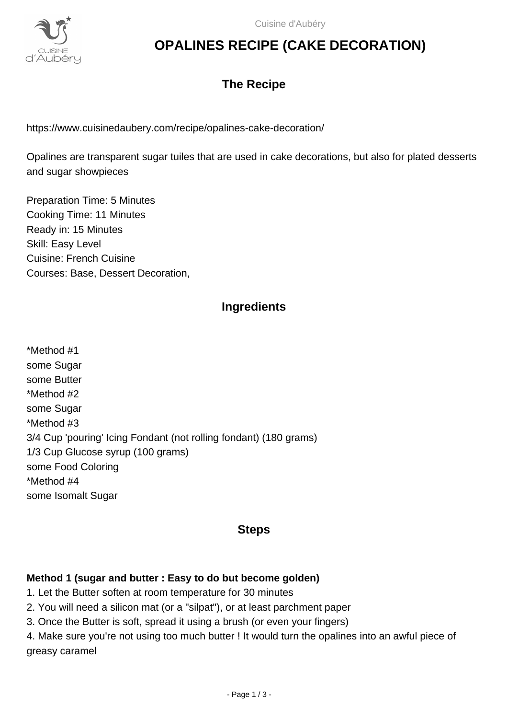

## **OPALINES RECIPE (CAKE DECORATION)**

### **The Recipe**

https://www.cuisinedaubery.com/recipe/opalines-cake-decoration/

Opalines are transparent sugar tuiles that are used in cake decorations, but also for plated desserts and sugar showpieces

Preparation Time: 5 Minutes Cooking Time: 11 Minutes Ready in: 15 Minutes Skill: Easy Level Cuisine: French Cuisine Courses: Base, Dessert Decoration,

### **Ingredients**

\*Method #1 some Sugar some Butter \*Method #2 some Sugar \*Method #3 3/4 Cup 'pouring' Icing Fondant (not rolling fondant) (180 grams) 1/3 Cup Glucose syrup (100 grams) some Food Coloring \*Method #4 some Isomalt Sugar

### **Steps**

#### **Method 1 (sugar and butter : Easy to do but become golden)**

- 1. Let the Butter soften at room temperature for 30 minutes
- 2. You will need a silicon mat (or a "silpat"), or at least parchment paper
- 3. Once the Butter is soft, spread it using a brush (or even your fingers)

4. Make sure you're not using too much butter ! It would turn the opalines into an awful piece of greasy caramel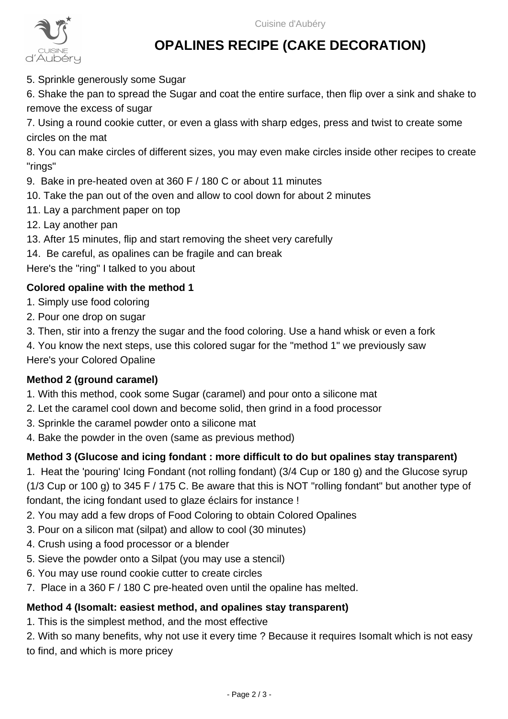

# **OPALINES RECIPE (CAKE DECORATION)**

5. Sprinkle generously some Sugar

6. Shake the pan to spread the Sugar and coat the entire surface, then flip over a sink and shake to remove the excess of sugar

7. Using a round cookie cutter, or even a glass with sharp edges, press and twist to create some circles on the mat

8. You can make circles of different sizes, you may even make circles inside other recipes to create "rings"

- 9. Bake in pre-heated oven at 360 F / 180 C or about 11 minutes
- 10. Take the pan out of the oven and allow to cool down for about 2 minutes
- 11. Lay a parchment paper on top
- 12. Lay another pan
- 13. After 15 minutes, flip and start removing the sheet very carefully
- 14. Be careful, as opalines can be fragile and can break
- Here's the "ring" I talked to you about

#### **Colored opaline with the method 1**

- 1. Simply use food coloring
- 2. Pour one drop on sugar
- 3. Then, stir into a frenzy the sugar and the food coloring. Use a hand whisk or even a fork
- 4. You know the next steps, use this colored sugar for the "method 1" we previously saw Here's your Colored Opaline

#### **Method 2 (ground caramel)**

- 1. With this method, cook some Sugar (caramel) and pour onto a silicone mat
- 2. Let the caramel cool down and become solid, then grind in a food processor
- 3. Sprinkle the caramel powder onto a silicone mat
- 4. Bake the powder in the oven (same as previous method)

#### **Method 3 (Glucose and icing fondant : more difficult to do but opalines stay transparent)**

1. Heat the 'pouring' Icing Fondant (not rolling fondant) (3/4 Cup or 180 g) and the Glucose syrup (1/3 Cup or 100 g) to 345 F / 175 C. Be aware that this is NOT "rolling fondant" but another type of fondant, the icing fondant used to glaze éclairs for instance !

- 2. You may add a few drops of Food Coloring to obtain Colored Opalines
- 3. Pour on a silicon mat (silpat) and allow to cool (30 minutes)
- 4. Crush using a food processor or a blender
- 5. Sieve the powder onto a Silpat (you may use a stencil)
- 6. You may use round cookie cutter to create circles
- 7. Place in a 360 F / 180 C pre-heated oven until the opaline has melted.

#### **Method 4 (Isomalt: easiest method, and opalines stay transparent)**

1. This is the simplest method, and the most effective

2. With so many benefits, why not use it every time ? Because it requires Isomalt which is not easy to find, and which is more pricey